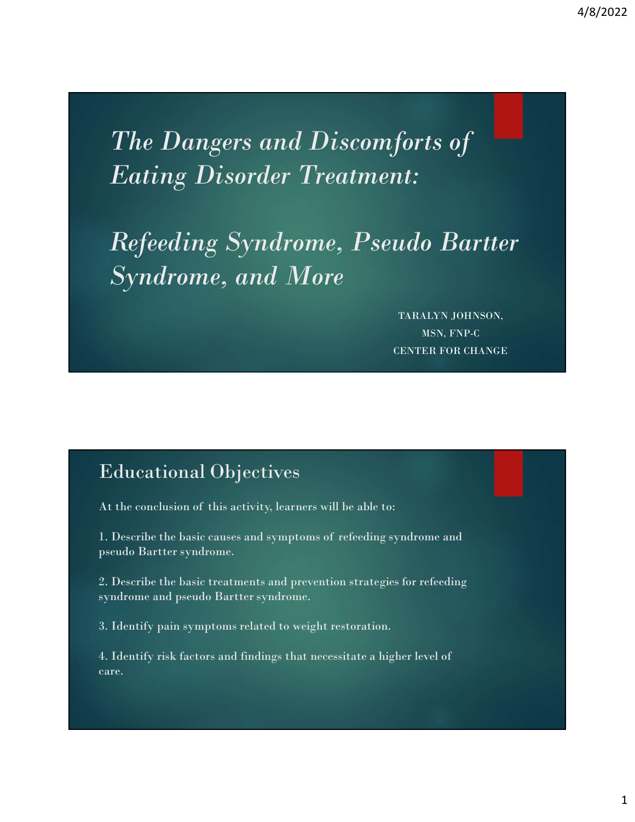Assumer and Discomforts of the Dangers and Discomforts of the Disconsisted Eating Disorder Treatment: Eating Disorder Treatment:

Refeeding Syndrome, Pseudo Bartter Syndrome, and More forts of<br>it:<br>ido Bartter<br>maralyn johnson,<br>maralyn johnson,<br>man, fnp.c<br>enter for change  $Syndrome, and More  
\n
$$
x_{\text{RALNN,JOHNSON, MSN, FNP-C}}^{x_{\text{RALNN,JOHNSON, MSN, FNP-C}}}
$$
\n
$$
x_{\text{RALNN, OHNSON}}^{x_{\text{RALNN, DOHNSON, MSN, FNP-C}}}
$$
\nEducational Objectives

\nAt the conclusion of this activity, learners will be able to:

\n1. Describe the basic causes and symptoms of reflecting syndrome and pseudo Bartter syndrome.

\n2. Describe the basic treatments and prevention strategies for reflecting$ 

MSN, FNP-C CENTER FOR CHANGE

### Educational Objectives

pseudo Bartter syndrome.

TARALYN JOHNSON,<br>
MSN, FNP-C<br>
CENTER FOR CHANGE<br>
CENTER FOR CHANGE<br>
At the conclusion of this activity, learners will be able to:<br>
1. Describe the basic causes and symptoms of refeeding syndrome and<br>
Describe the basic tre 2. Describe the basic treatments and prevention strategies for refeeding syndrome and pseudo Bartter syndrome. Educational Objectives<br>
At the conclusion of this activity, learners will be able to:<br>
1. Describe the basic causes and symptoms of refeeding syndrome and<br>
pseudo Bartter syndrome.<br>
2. Describe the basic treatments and pre

3. Identify pain symptoms related to weight restoration.

care.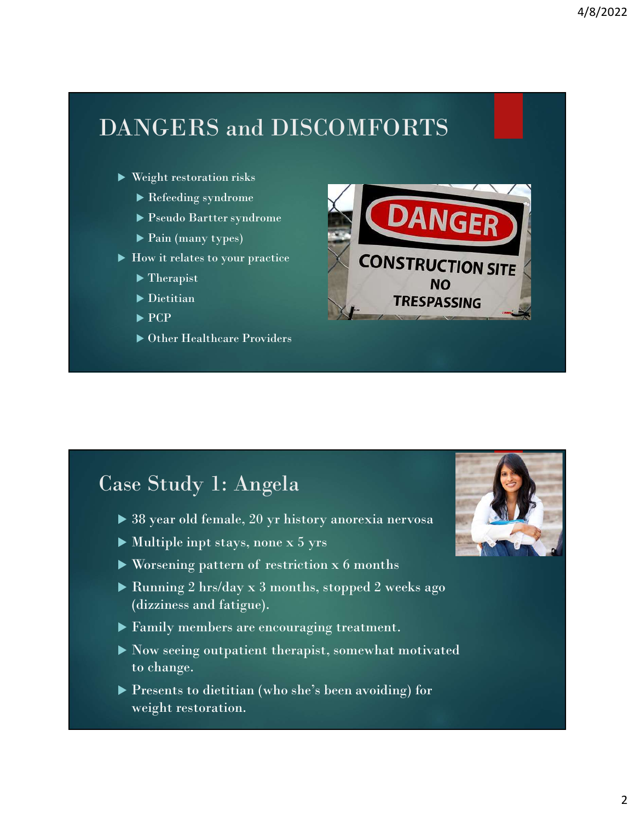### DANGERS and DISCOMFORTS

- Weight restoration risks
	- Refeeding syndrome
	- Pseudo Bartter syndrome
	- ▶ Pain (many types)
- -
	-
	-
	- ▶ Other Healthcare Providers



### Case Study 1: Angela

- 
- 
- 
- Running 2 hrs/day x 3 months, stopped 2 weeks ago (dizziness and fatigue).
- Family members are encouraging treatment.
- Now seeing outpatient therapist, somewhat motivated to change.
- Presents to dietitian (who she's been avoiding) for weight restoration.

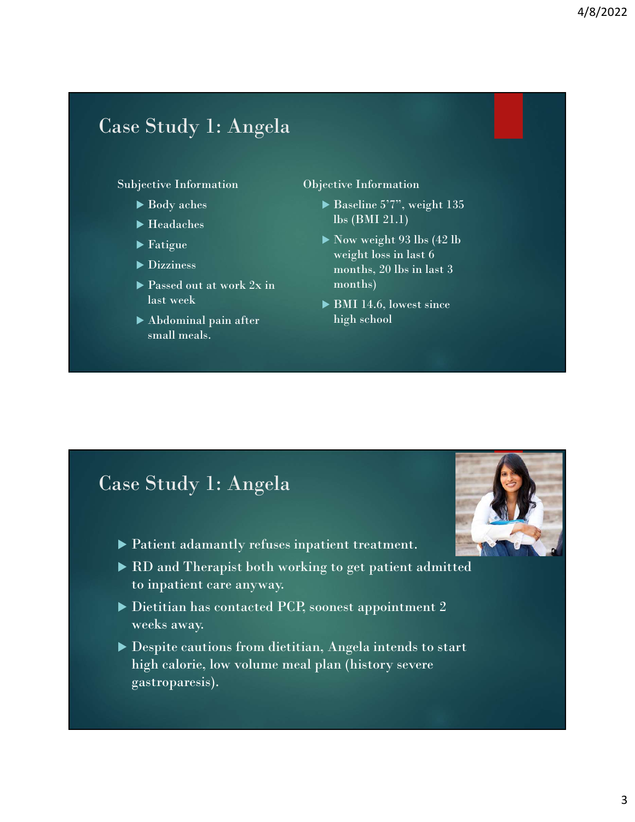### Case Study 1: Angela

### Subjective Information

- 
- 
- 
- 
- ▶ Passed out at work  $2x$  in last week
- Abdominal pain after small meals.

### Objective Information

- Body aches Baseline 5'7", weight 135  $\blacktriangleright$  Headaches Ibs (BMI 21.1)
- $\blacktriangleright$  Fatigue  $\blacktriangleright$  Now weight 93 lbs (42 lb) Dizziness months, 20 lbs in last 3  $\frac{4}{8}/2022$ <br>tive Information<br>Baseline 5'7", weight 135<br>Ibs (BMI 21.1)<br>Now weight 93 lbs (42 lb<br>weight loss in last 6<br>months)<br> $\frac{20 \text{ lbs in last 3}}{\text{months}}$ 4/8/2022<br>
ective Information<br>
▶ Baseline 5'7", weight 135<br>
Ibs (BMI 21.1)<br>
▶ Now weight 93 lbs (42 lb<br>
weight loss in last 6<br>
weight bs . also that 6<br>
months, 20 lbs in last 3<br>
months)<br>
▶ BMI 14.6, lowest since<br>
high sch weight loss in last 6 months, 20 lbs in last 3<br>
months, 20 lbs in last 3<br>
months, 20 lbs in last 3<br>
months, 20 lbs in last 3<br>
months, 20 lbs in last 3<br>
months)<br>
MI 14.6, lowest since<br>
high school months)
	- ▶ BMI 14.6, lowest since high school

### Case Study 1: Angela

- Patient adamantly refuses inpatient treatment.
- ▶ RD and Therapist both working to get patient admitted to inpatient care anyway.
- Dietitian has contacted PCP, soonest appointment 2 weeks away.
- Despite cautions from dietitian, Angela intends to start high calorie, low volume meal plan (history severe gastroparesis).

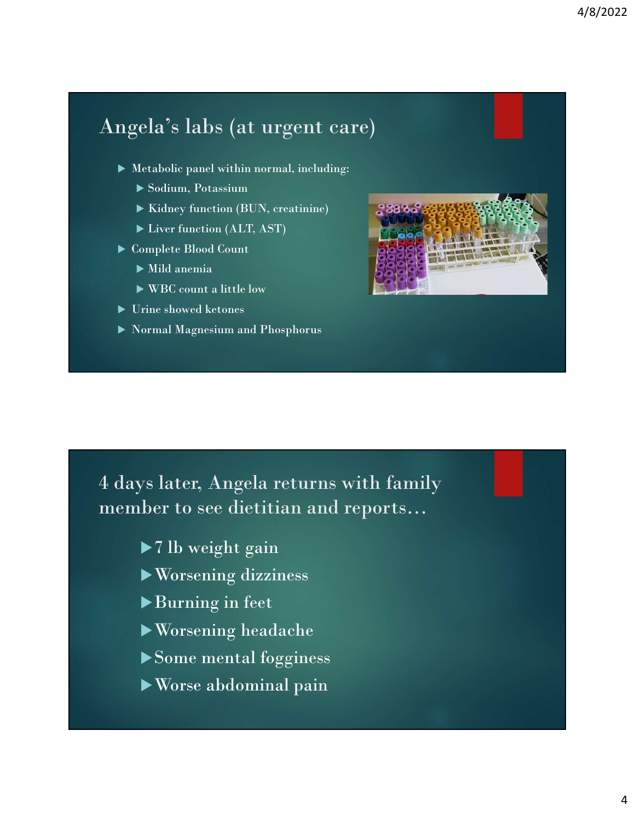### Angela's labs (at urgent care)

- $\blacktriangleright$  Metabolic panel within normal, including:
	- Sodium, Potassium
	- Kidney function (BUN, creatinine)
	- ▶ Liver function (ALT, AST)
- ▶ Complete Blood Count
	- $\blacktriangleright$  Mild anemia
	- WBC count a little low
- Urine showed ketones
- Normal Magnesium and Phosphorus



4 days later, Angela returns with family member to see dietitian and reports… The showed ketones<br>
Fine showed ketones<br>
Final Magnesium and Phosphorus<br>
The space of the space of the space of the space of the SWOTS<br>
The Worsening dizzines<br>
→ The SWOTS<br>
→ The SWOTS<br>
→ The SWOTS<br>
→ The SWOTS<br>
→ The SWO

- 
- Worsening dizziness
- Burning in feet
- Worsening headache
- Some mental fogginess
- Worse abdominal pain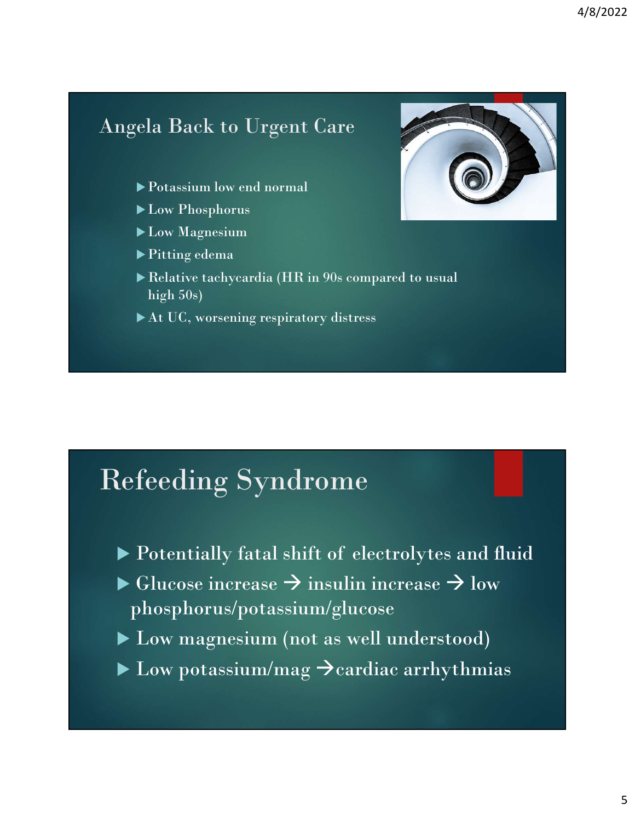### Angela Back to Urgent Care

- Potassium low end normal
- ▶ Low Phosphorus
- **Low Magnesium**
- ▶ Pitting edema
- Relative tachycardia (HR in 90s compared to usual high 50s)
- At UC, worsening respiratory distress

### Refeeding Syndrome

- 
- $\begin{array}{l} \textbf{Set} \ \textbf{E} \ \textbf{E} \ \textbf{E} \ \textbf{E} \ \textbf{E} \ \textbf{E} \ \textbf{E} \ \textbf{E} \ \textbf{E} \ \textbf{E} \ \textbf{E} \ \textbf{E} \ \textbf{E} \ \textbf{E} \ \textbf{E} \ \textbf{E} \ \textbf{E} \ \textbf{E} \ \textbf{E} \ \textbf{E} \ \textbf{E} \ \textbf{E} \ \textbf{E} \ \textbf{E} \ \textbf{E} \ \textbf{E} \ \textbf{E} \ \textbf{E} \ \textbf{E} \ \textbf$  $\triangleright$  Glucose increase  $\rightarrow$  insulin increase  $\rightarrow$  low phosphorus/potassium/glucose
- Low magnesium (not as well understood)
- $\blacktriangleright$  Low potassium/mag  $\blacktriangleright$  cardiac arrhythmias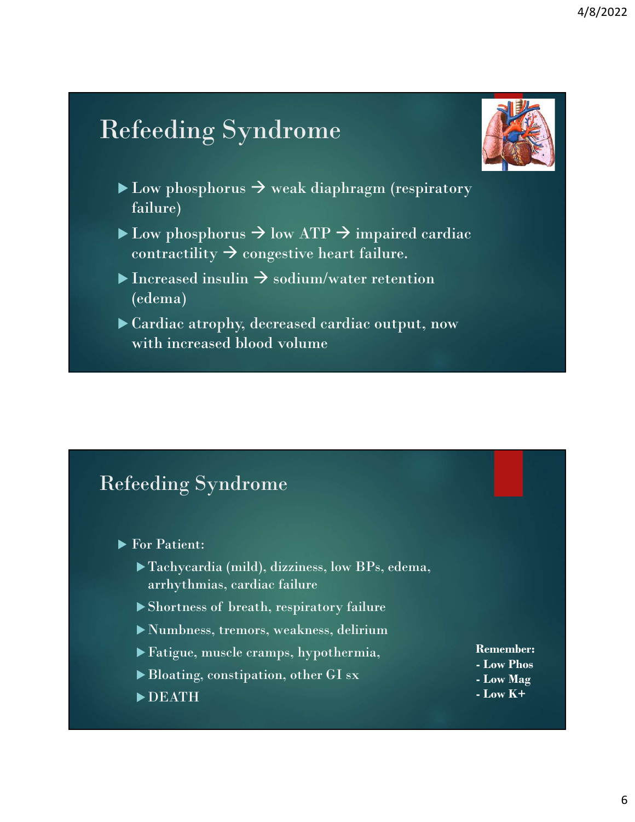### Refeeding Syndrome



- $\blacktriangleright$  Low phosphorus  $\rightarrow$  weak diaphragm (respiratory failure)
- $\blacktriangleright$  Low phosphorus  $\rightarrow$  low ATP  $\rightarrow$  impaired cardiac contractility  $\rightarrow$  congestive heart failure.
- Increased insulin  $\rightarrow$  sodium/water retention (edema)
- Cardiac atrophy, decreased cardiac output, now with increased blood volume

### Refeeding Syndrome

- **For Patient:**
- Tachycardia (mild), dizziness, low BPs, edema, arrhythmias, cardiac failure Shortness of breath, respirators of breath, respirators of breath, respirators of breath, respiratory failure<br>
→ Tachycardia (mild), dizziness, low BPs, edema,<br>
→ Shortness of breath, respiratory failure<br>
→ Numbness, trem
	-
	- Numbness, tremors, weakness, delirium
	- Fatigue, muscle cramps, hypothermia,
	- Bloating, constipation, other GI sx Low Mag
	- DEATH

Remember: Remember:<br>- Low Phos<br>- Low Mag<br>- Low K+ Remember:<br>- Low Phos<br>- Low Mag<br>- Low K+ Remember:<br>
- Low Phos<br>
- Low Mag<br>
- Low K+<br>
- Low K+

- 
-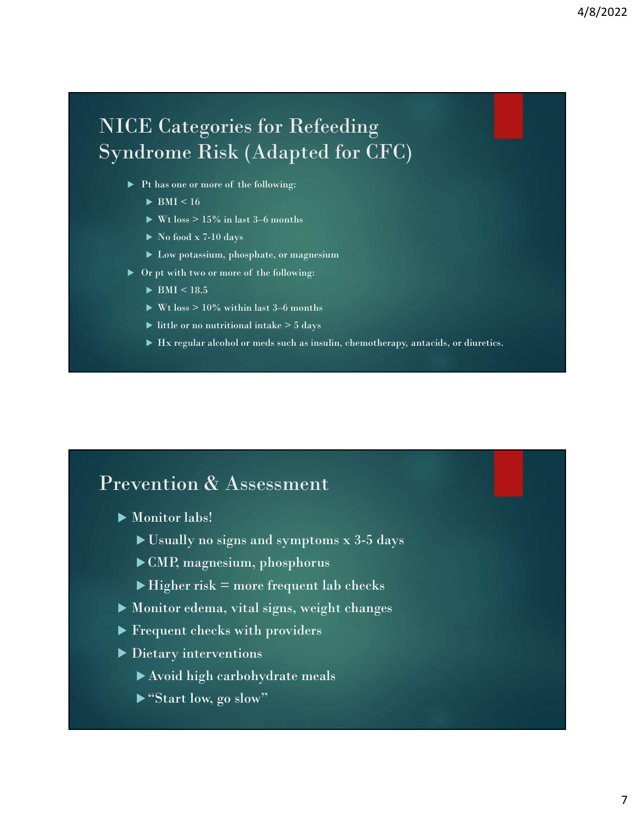### NICE Categories for Refeeding Syndrome Risk (Adapted for CFC) CE Categories for Refeeding<br>
ndrome Risk (Adapted for CFC)<br>
Pt has one or more of the following:<br>
PMI < 16<br>
PW1 boss > 15% in last 3–6 months<br>
PNo food x 7-10 days<br>
PLow potassium, phosphate, or magnesium Wt loss > 15% in last 3–6 months CE Categories for Refeeding<br>
ndrome Risk (Adapted for CFC)<br>
Films once or more of the following:<br>
BMI <16<br>
Films once or more of the following:<br>
Films two or more of the following:<br>
Films to a more of the following:<br>
Film C Categories for Refeeding<br>
rome Risk (Adapted for CFC)<br>
<br>
Thas one or more of the following:<br>
<br> **Withoss > 15% in last 3–6 months<br>
<br>
Withoss > 15% in last 3–6 months<br>
<br>
> Low potassium, phosphate, or magnesium<br>
<br>
Prept w** Example of the following:<br>
Hydramore more of the following:<br>
Hydramore or more of the following:<br>
Hydramore of the following:<br>
<br>
Hydramore mediants, or magnesium<br>
<br>
Hydramore mediants, or diuretics.<br>
<br>
Hydramore of the fo

- - $\blacktriangleright$  BMI < 16
	-
	- $\triangleright$  No food x 7-10 days
	- Low potassium, phosphate, or magnesium
- - $\blacktriangleright$  BMI < 18.5
	-
	- $\blacktriangleright$  little or no nutritional intake  $>$  5 days
	-

### Prevention & Assessment

- Monitor labs!
	- Usually no signs and symptoms x 3-5 days
	- CMP, magnesium, phosphorus
	- $\blacktriangleright$  Higher risk = more frequent lab checks
- Monitor edema, vital signs, weight changes
- Frequent checks with providers
- Dietary interventions
	- Avoid high carbohydrate meals
	- ▶ "Start low, go slow"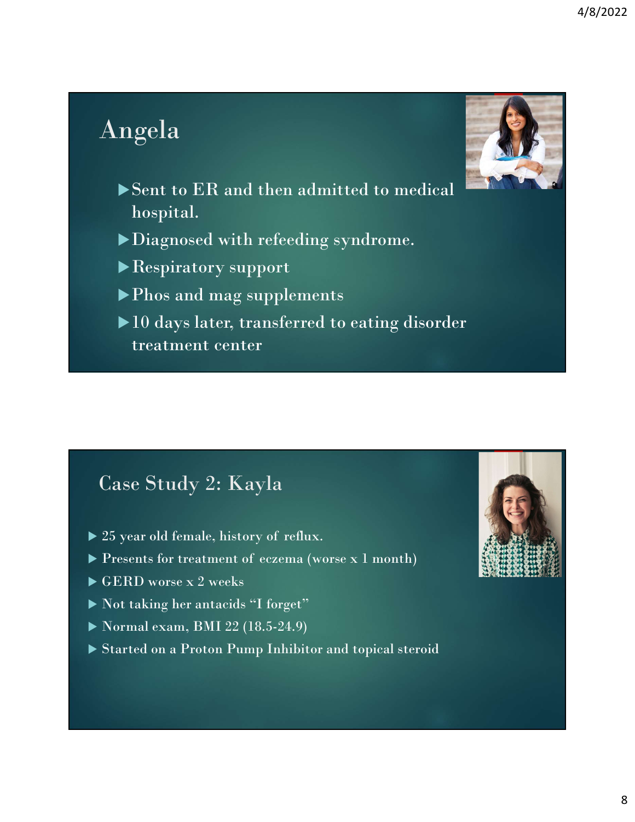### Angela



- Sent to ER and then admitted to medical hospital.
- Diagnosed with refeeding syndrome.

Respiratory support

- 
- **Phono and Secure 2012**<br>
Posent to ER and then admitted to medical<br>
phospital.<br>
Phospitatory support<br>
Phos and mag supplements<br>
Phos and mag supplements<br>
Phos and mag supplements<br>
reatment center  $10$  days later, transferred to eating disorder treatment center 25 year old female, history of reflux. → 10 days later, transferred to eating disorder<br>treatment center<br>center of eczema (worse x 1 month)<br><br>> 25 year old female, history of reflux.<br>> Presents for treatment of eczema (worse x 1 month)<br>> GERD worse x 2 weeks<br>> N

### Case Study 2: Kayla

- 
- 
- GERD worse x 2 weeks
- Not taking her antacids "I forget"
- Normal exam, BMI 22 (18.5-24.9)
- Started on a Proton Pump Inhibitor and topical steroid

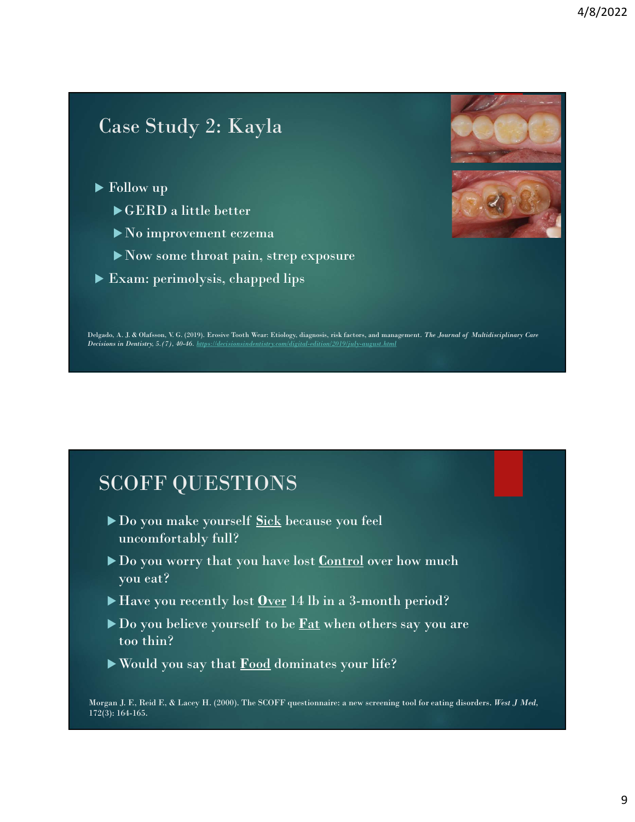### Case Study 2: Kayla

- ▶ Follow up
	- GERD a little better
	- No improvement eczema
	- Now some throat pain, strep exposure
- Exam: perimolysis, chapped lips





Delgado, A. J. & Olafsson, V. G. (2019). Erosive Tooth Wear: Etiology, diagnosis, risk factors, and management. The Journal of Multidisciplinary Care<br>Decisions in Dentistry, 5.(7), 40-46. https://decisionsindentistry.com/d

### SCOFF QUESTIONS

- uncomfortably full?
- Exam: perimolysis, chapped lips<br>
Do you make yourself Sick because you feel<br>
Do you make yourself Sick because you feel<br>
Do you worry that you have lost <u>Control</u> over how much<br>
you cat?<br>
Do you worry that you have lost <u></u>  $\begin{array}{l} \text{Do, A. I. & Oldone, V. & O. & O. \\ \text{Do, A. I. & Oldone, V. & O. & O. \\ \end{array} \end{array} \begin{array}{l} \text{Do, A. I. & Oldone, V. & O. & O. \\ \end{array} \begin{array}{l} \text{One to the image of the image.} \\ \text{One to the image of the image.} \\ \end{array} \begin{array}{l} \text{One to the image of the image.} \\ \text{One to the image of the image.} \\ \end{array} \end{array}$ you eat? SCOFF QUESTIONS<br>
► Do you make yourself <u>Sick</u> because you feel<br>
uncomfortably full?<br>
► Do you worry that you have lost Control over how much<br>
you eat?<br>
► Have you recently lost <u>Over</u> 14 lb in a 3-month period?<br>
► Do yo  $\begin{array}{l} \text{SCOFF QUESTIONS} \ \text{\small{\bf \textcolor{blue}{\blacktriangleright\textbf{Do}}}\text{ you make yourself Siek because you feel} \ \text{uncomfortably full?} \ \text{\small{\bf \textcolor{blue}{\blacktriangleright\textbf{Do}}}\text{ you worry that you have lost Control over how much you eat?} \ \text{\small{\bf \textcolor{blue}{\blacktriangleright\textbf{Haev}}}\text{ you recently lost Over 14 lb in a 3-month period?} \ \text{\small{\bf \textcolor{blue}{\blacktriangleright\textbf{Daev}}}\text{ you believe yourself to be } \underline{\underline{\underline{\underline{\underline{\underline{\underline{\underline{\underline{\underline{\underline{\underline{\underline$ SCOFF QUESTIONS<br>
► Do you make yourself <u>Sick</u> because you feel<br>
wncomfortably full?<br>
► Do you worry that you have lost <u>Control</u> over how much<br>
you eat?<br>
► Have you recently lost <u>Over</u> 14 lb in a 3-month period?<br>
► Do
- 
- too thin?
- 

Morgan J. F., Reid F., & Lacey H. (2000). The SCOFF questionnaire: a new screening tool for eating disorders. West J Med, 172(3): 164-165.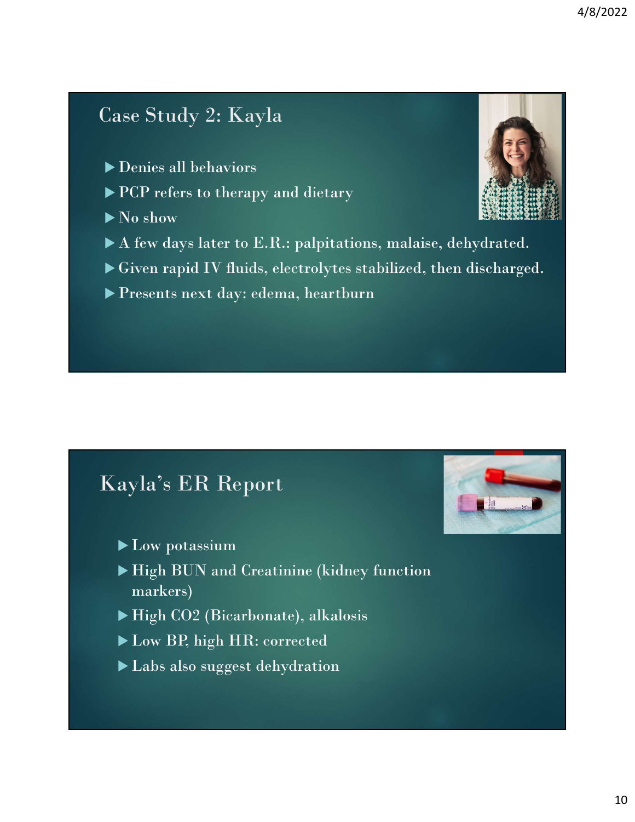### Case Study 2: Kayla

- Denies all behaviors
- ▶ PCP refers to therapy and dietary
- $\blacktriangleright$  No show
- A few days later to E.R.: palpitations, malaise, dehydrated.
- Given rapid IV fluids, electrolytes stabilized, then discharged.
- Presents next day: edema, heartburn

### Kayla's ER Report

- ▶ Low potassium
- High BUN and Creatinine (kidney function markers)
- ▶ High CO2 (Bicarbonate), alkalosis
- Low BP, high HR: corrected
- Labs also suggest dehydration



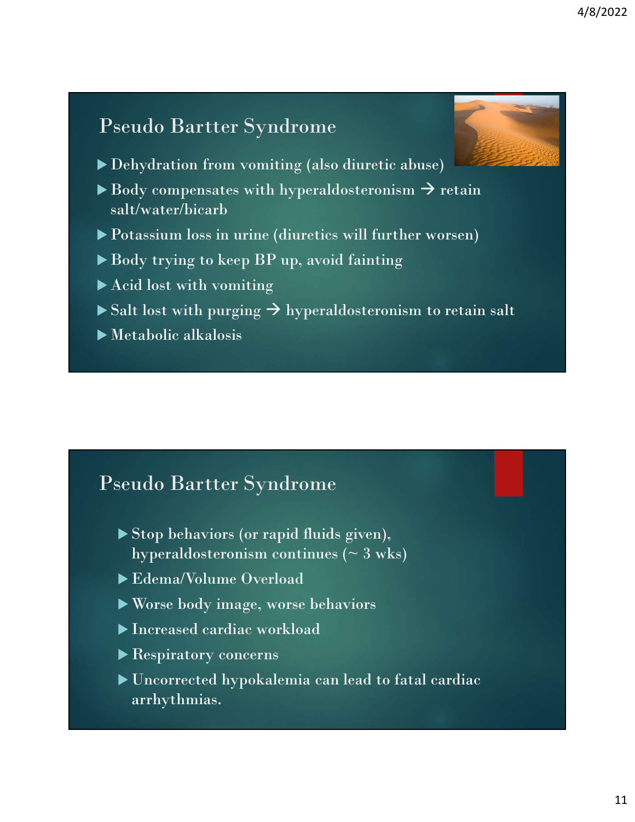### Pseudo Bartter Syndrome



- Dehydration from vomiting (also diuretic abuse)
- $\blacktriangleright$  Body compensates with hyperaldosteronism  $\rightarrow$  retain salt/water/bicarb
- Potassium loss in urine (diuretics will further worsen)
- Body trying to keep BP up, avoid fainting
- ▶ Acid lost with vomiting
- $\triangleright$  Salt lost with purging  $\rightarrow$  hyperaldosteronism to retain salt
- Metabolic alkalosis

### Pseudo Bartter Syndrome

- Stop behaviors (or rapid fluids given), hyperaldosteronism continues ( $\sim$  3 wks)
- Edema/Volume Overload
- Worse body image, worse behaviors
- Increased cardiac workload
- Respiratory concerns
- Uncorrected hypokalemia can lead to fatal cardiac arrhythmias.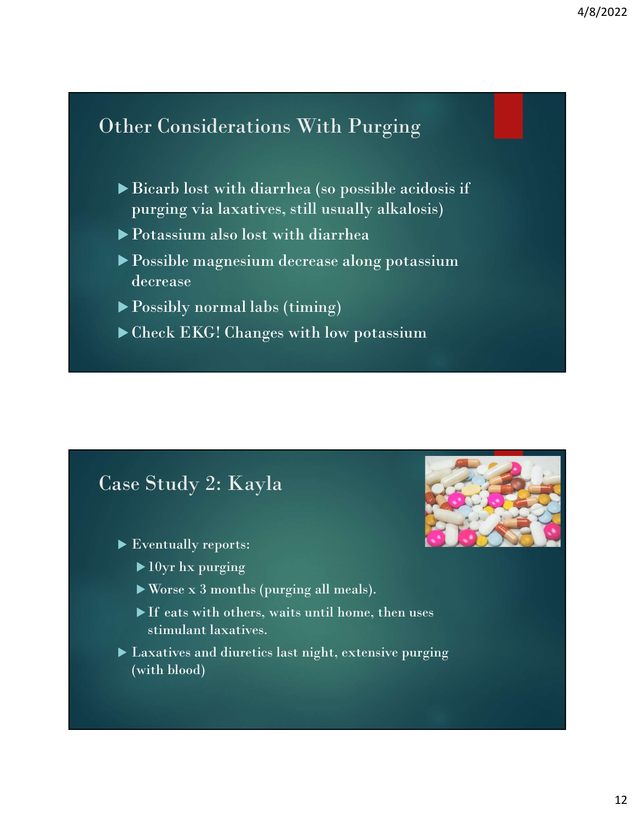### Other Considerations With Purging

- 4/8/2022<br>
<br>
her Considerations With Purging<br>
→ Bicarb lost with diarrhea (so possible acidosis if<br>
→ Potassium also lost with diarrhea<br>
→ Possible magnesium decrease along potassium purging via laxatives, still usually alkalosis)
- Potassium also lost with diarrhea
- Possible magnesium decrease along potassium decrease
- Possibly normal labs (timing)
- ▶ Check EKG! Changes with low potassium

### Case Study 2: Kayla

- Eventually reports:
	-
	- Worse x 3 months (purging all meals).
	- stimulant laxatives.
- Laxatives and diuretics last night, extensive purging (with blood)

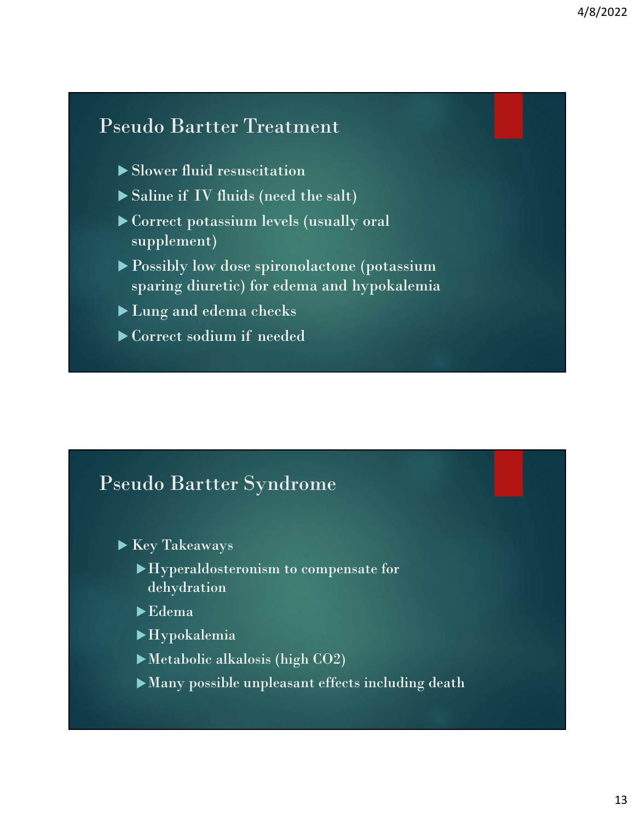### Pseudo Bartter Treatment

- Slower fluid resuscitation
- 
- Saline if IV fluids (need the salt)<br>
Saline if IV fluids (need the salt)<br>
→ Saline if IV fluids (need the salt)<br>
→ Correct potassium levels (usually oral<br>
→ Possibly low dose spironolactone (potassium Correct potassium levels (usually oral supplement)
- ▶ Possibly low dose spironolactone (potassium sparing diuretic) for edema and hypokalemia Scotter School (School of School of School of School of School of School of School of School of School of School of School of School of School of School of School of School of School of School of School of School of Schoo
- Lung and edema checks
- 

### Pseudo Bartter Syndrome

- ▶ Key Takeaways
	- Hyperaldosteronism to compensate for dehydration
	- Edema
	- Hypokalemia
	- Metabolic alkalosis (high CO2)
	- Many possible unpleasant effects including death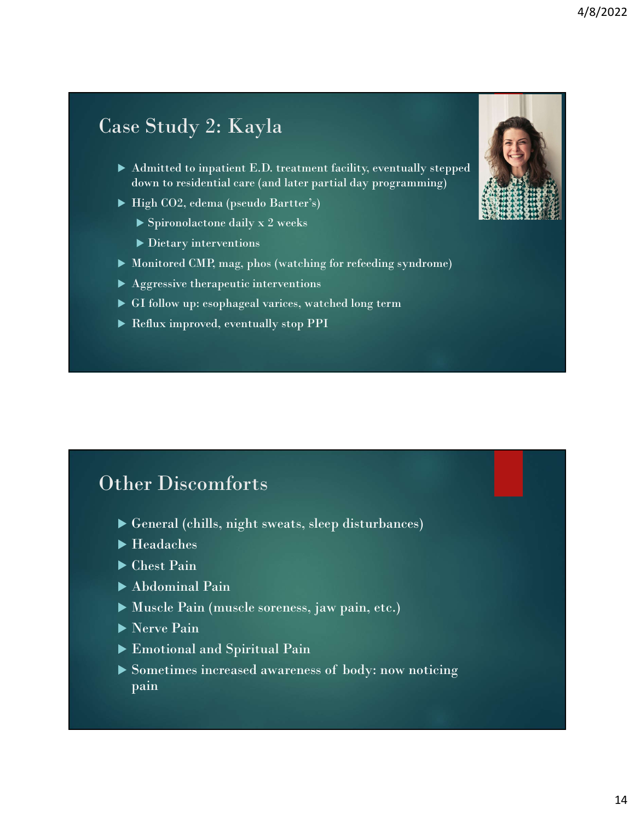### Case Study 2: Kayla

- Admitted to inpatient E.D. treatment facility, eventually stepped down to residential care (and later partial day programming)
- ▶ High CO2, edema (pseudo Bartter's)
	- $\triangleright$  Spironolactone daily x 2 weeks
	- Dietary interventions
- 
- Aggressive therapeutic interventions
- GI follow up: esophageal varices, watched long term
- Reflux improved, eventually stop PPI

### Other Discomforts

- General (chills, night sweats, sleep disturbances)
- $\blacktriangleright$  Headaches
- ▶ Chest Pain
- $\blacktriangleright$  Abdominal Pain
- Muscle Pain (muscle soreness, jaw pain, etc.)
- Nerve Pain
- Emotional and Spiritual Pain
- Somether Discomforts<br>
Somether (chills, night sweats, sleep disturbances)<br>
Somether Pain<br>
Somether also body: now pain, etc.)<br>
Somether Pain<br>
Sometimes increased awareness of body: now noticing<br>
pain pain

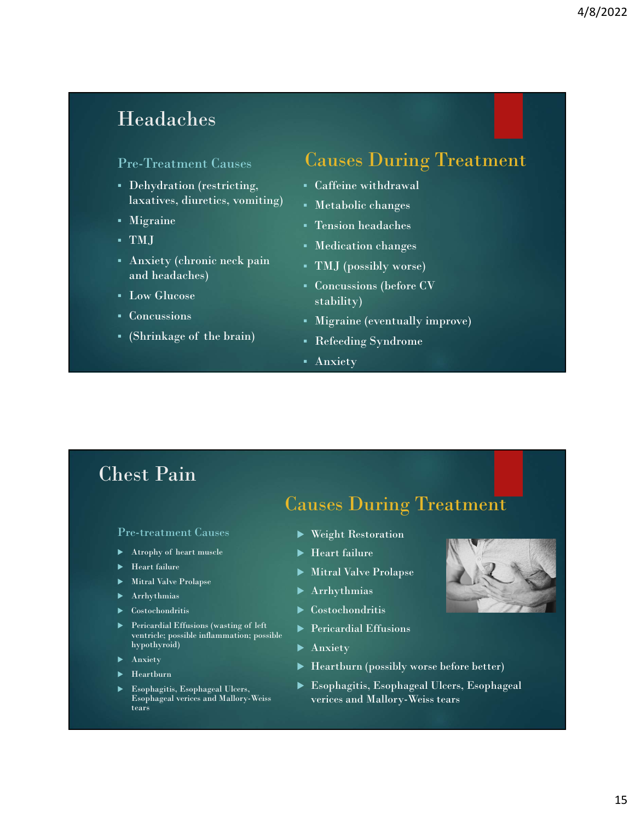### Headaches

### Pre-Treatment Causes

- Dehydration (restricting, laxatives, diuretics, vomiting) Headaches<br>
Pre-Treatment Causes<br>
Pre-Treatment Causes<br>
Causes During Treatment<br>
• Gehydration (restricting, , caffeine withdrawal<br>
• Matabolic changes<br>
• Matabolic changes<br>
• TMJ<br>
• Medication changes<br>
• Matabolic changes<br>
- Migraine
- TMJ
- Anxiety (chronic neck pain and headaches)
- Low Glucose
- Concussions
- 

### Causes During Treatment

- Caffeine withdrawal
- Metabolic changes
- Tension headaches
- Medication changes
- TMJ (possibly worse)
- Concussions (before CV stability)
- Migraine (eventually improve)
- Refeeding Syndrome
- Anxiety

### Chest Pain

Pre-treatment Causes

- 
- 
- Mitral Valve Prolapse
- Arrhythmias **Arrhythmias**
- 
- Pericardial Effusions (wasting of left<br>ventricle; possible inflammation; possible hypothyroid)
- 
- $\blacktriangleright$  Heartburn
- 

### $\begin{tabular}{lllllllll} \textbf{Low Unteose} & \textbf{stability)} & \textbf{1} & \textbf{1} & \textbf{2} & \textbf{2} & \textbf{3} & \textbf{3} & \textbf{4} & \textbf{5} & \textbf{5} & \textbf{6} & \textbf{6} & \textbf{7} & \textbf{8} & \textbf{8} & \textbf{9} & \textbf{1} & \textbf{1} & \textbf{1} & \textbf{1} & \textbf{1} & \textbf{1} & \textbf{1} & \textbf{1} & \textbf{1} & \textbf{1} & \textbf{1} & \textbf{1} & \$ Causes During Treatment

- Weight Restoration
- $\blacktriangleright$  Heart failure
- ► Heart failure
→ Heart failure
→ Mitral Valve Prolapse
	- Arrhythmias
	-
	- **Pericardial Effusions**
	- **Anxiety**
- $\blacktriangleright$  Anxiety  $\blacktriangleright$  Heartburn (possibly worse before better)
- Esophagitis, Esophageal Ulcers,<br>Esophageal verices and Mallory-Weiss<br>Verices and Mallory-Weiss tears Esophaginal verices and Mallory-Weiss<br>
Esophaginal verices and Mallory-Weiss tears<br>
Nextra (alumna and the Prolapse New Mitral Valve Prolapse New Mitral Valve Prolapse<br>
Metal Valve Prolapse<br>
New Yorky American Costochondr Esophagitis, Esophageal Ulcers, Esophageal

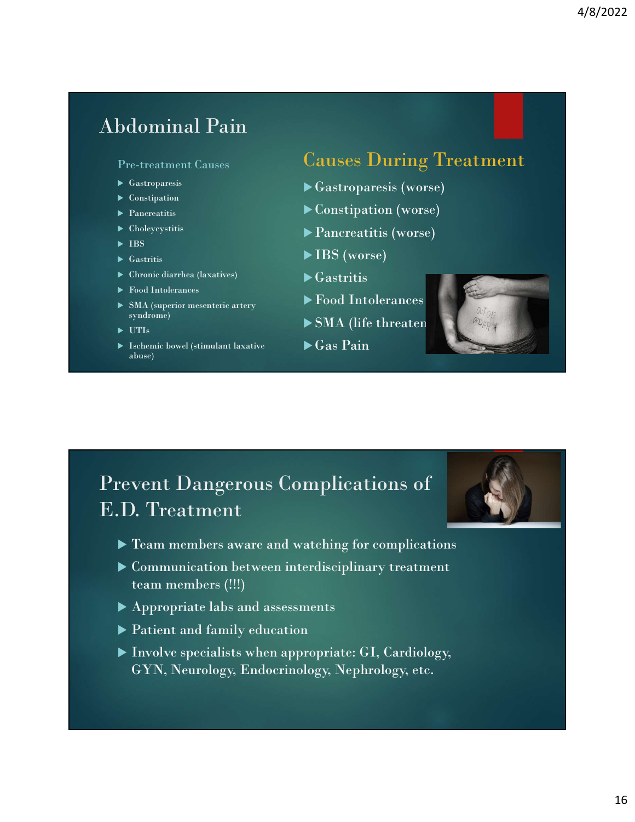### Abdominal Pain

### Pre-treatment Causes

- 
- **Exercise** Constipation
- 
- 
- $\blacktriangleright$  IBS  $\blacktriangleright$  IBS
- 
- Chronic diarrhea (laxatives)
- ▶ Food Intolerances
- SMA (superior mesenteric artery syndrome)
- 
- Ischemic bowel (stimulant laxative abuse)

### Causes During Treatment

- Gastroparesis Gastroparesis (worse)
- Pancreatitis Constipation (worse)
- ► Choleycystitis **Pancreatitis (worse)**
- $\blacktriangleright$  Gastritis  $\blacktriangleright$  IBS (worse)
	- $\blacktriangleright$  Gastritis
	- Food Intolerances
- UTIs SMA (life threatening)
	- $\blacktriangleright$  Gas Pain





- Communication between interdisciplinary treatment team members (!!!)
- Appropriate labs and assessments
- Patient and family education
- Involve specialists when appropriate: GI, Cardiology, GYN, Neurology, Endocrinology, Nephrology, etc.

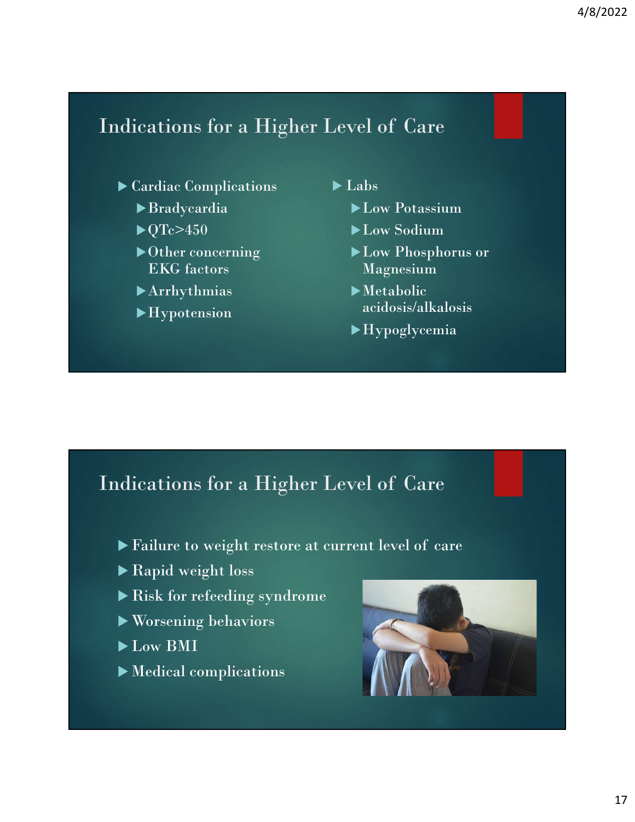# Altrasset of Care<br>
→ Cardiac Complications<br>
→ Cardiac Complications<br>
→ Particula → Labs<br>
→ Particula → Low Potassium

### Cardiac Complications

- Bradycardia
- $\blacktriangleright$  QTc>450
- ▶ Other concerning EKG factors
- Arrhythmias
- Hypotension

 $\blacktriangleright$  Labs

- ► Low Potassium
- ▶Low Sodium
- Low Phosphorus or Magnesium
- Metabolic acidosis/alkalosis
- Hypoglycemia

# Excession<br>
Deliver concerning<br>
Excession<br>
Excession<br>
Excession<br>
Deliversion<br>
Deliversion<br>
Deliversion<br>
Deliversion<br>
Deliversion<br>
Deliversion<br>
Deliversion<br>
Deliversion<br>
Deliversion<br>
Deliversion<br>
Deliversion<br>
Deliversion<br>
D

- 
- ▶ Rapid weight loss
- Risk for refeeding syndrome
- Worsening behaviors
- Low BMI
- Medical complications